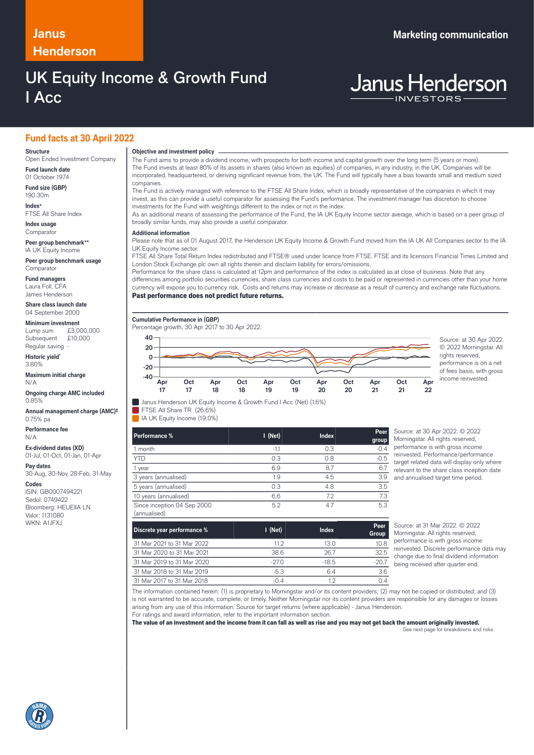# **Henderson**

## UK Equity Income & Growth Fund I Acc

### **Janus Marketing communication**

# **Janus Henderson**

### **Fund facts at 30 April 2022**

#### **Structure**

Open Ended Investment Company **Fund launch date**

01 October 1974

**Fund size (GBP)** 190.30m **Index+**

FTSE All Share Index **Index usage**

Comparato

**Peer group benchmark++** IA UK Equity Income

**Peer group benchmark usage Comparator** 

**Fund managers** Laura Foll, CFA James Henderson

**Share class launch date** 04 September 2000

#### **Minimum investment**

Lump sum £3,000,000 Subsequent £10,000 Regular saving

**Historic yield\*** 3.80%

**Maximum initial charge** N/A

**Ongoing charge AMC included** 0.85%

**Annual management charge (AMC)‡** 0.75% pa

**Performance fee** N/A

**Ex-dividend dates (XD)** 01-Jul, 01-Oct, 01-Jan, 01-Apr

**Pay dates**

30-Aug, 30-Nov, 28-Feb, 31-May

**Codes**

ISIN: GB0007494221 Sedol: 0749422 Bloomberg: HEUEIIA LN Valor: 1131080 WKN: A1JFXJ

### **Objective and investment policy** ────────────────────────────────────────────────────────────────────────────────────────────────────────────────────────────────────────────────────────────────────────────────────────────────────────────────────────────────────────────────────────────────────────────────────────────────────────────────────────────────────────────────────────────────────────────────────────────────────────────────────────────────────────────────────────────────────────────────────────────────────────────────────

The Fund aims to provide a dividend income, with prospects for both income and capital growth over the long term (5 years or more). The Fund invests at least 80% of its assets in shares (also known as equities) of companies, in any industry, in the UK. Companies will be incorporated, headquartered, or deriving significant revenue from, the UK. The Fund will typically have a bias towards small and medium sized companies.

The Fund is actively managed with reference to the FTSE All Share Index, which is broadly representative of the companies in which it may invest, as this can provide a useful comparator for assessing the Fund's performance. The investment manager has discretion to choose investments for the Fund with weightings different to the index or not in the index.

As an additional means of assessing the performance of the Fund, the IA UK Equity Income sector average, which is based on a peer group of broadly similar funds, may also provide a useful comparator.

#### … **Additional information**

Please note that as of 01 August 2017, the Henderson UK Equity Income & Growth Fund moved from the IA UK All Companies sector to the IA UK Equity Income sector.

FTSE All Share Total Return Index redistributed and FTSE® used under licence from FTSE. FTSE and its licensors Financial Times Limited and London Stock Exchange plc own all rights therein and disclaim liability for errors/omissions.

Performance for the share class is calculated at 12pm and performance of the index is calculated as at close of business. Note that any differences among portfolio securities currencies, share class currencies and costs to be paid or represented in currencies other than your home currency will expose you to currency risk. Costs and returns may increase or decrease as a result of currency and exchange rate fluctuations.

#### Past performance does not predict future returns.



© 2022 Morningstar. All rights reserved, performance is on a net of fees basis, with gross income reinvested.

Janus Henderson UK Equity Income & Growth Fund I Acc (Net) (1.6%)

FTSE All Share TR (26.6%)

IA UK Equity Income (19.0%)

| Performance %                               | $I$ (Net) | <b>Index</b> | Peer<br>group |
|---------------------------------------------|-----------|--------------|---------------|
| 1 month                                     | $-1.1$    | 0.3          | $-0.4$        |
| <b>YTD</b>                                  | 0.3       | 0.8          | $-0.5$        |
| 1 year                                      | 6.9       | 8.7          | 6.7           |
| 3 years (annualised)                        | 1.9       | 4.5          | 3.9           |
| 5 years (annualised)                        | 0.3       | 4.8          | 3.5           |
| 10 years (annualised)                       | 6.6       | 7.2          | 7.3           |
| Since inception 04 Sep 2000<br>(annualised) | 5.2       | 4.7          | 5.3           |

ource: at 30 Apr 2022. © 2022 **Morningstar.** All rights reserved erformance is with gross income einvested. Performance/performance trget related data will display only where relevant to the share class inception date nd annualised target time period.

| Discrete year performance % | $\blacksquare$ (Net) | Index   | Peer<br>Group |
|-----------------------------|----------------------|---------|---------------|
| 31 Mar 2021 to 31 Mar 2022  | 11 2                 | 13 O    | 10.8          |
| 31 Mar 2020 to 31 Mar 2021  | 38.6                 | 26.7    | 32.5          |
| 31 Mar 2019 to 31 Mar 2020  | $-270$               | $-18.5$ | $-20.7$       |
| 31 Mar 2018 to 31 Mar 2019  | $-5.3$               | 64      | 3.6           |
| 31 Mar 2017 to 31 Mar 2018  | $-0.4$               |         |               |

Source: at 31 Mar 2022. © 2022 Morningstar. All rights reserved, performance is with gross income reinvested. Discrete performance data may change due to final dividend information being received after quarter end.

The information contained herein: (1) is proprietary to Morningstar and/or its content providers; (2) may not be copied or distributed; and (3) is not warranted to be accurate, complete, or timely. Neither Morningstar nor its content providers are responsible for any damages or losses arising from any use of this information. Source for target returns (where applicable) - Janus Henderson. For ratings and award information, refer to the important information section.

The value of an investment and the income from it can fall as well as rise and you may not get back the amount originally invested. See next page for breakdowns and risks.